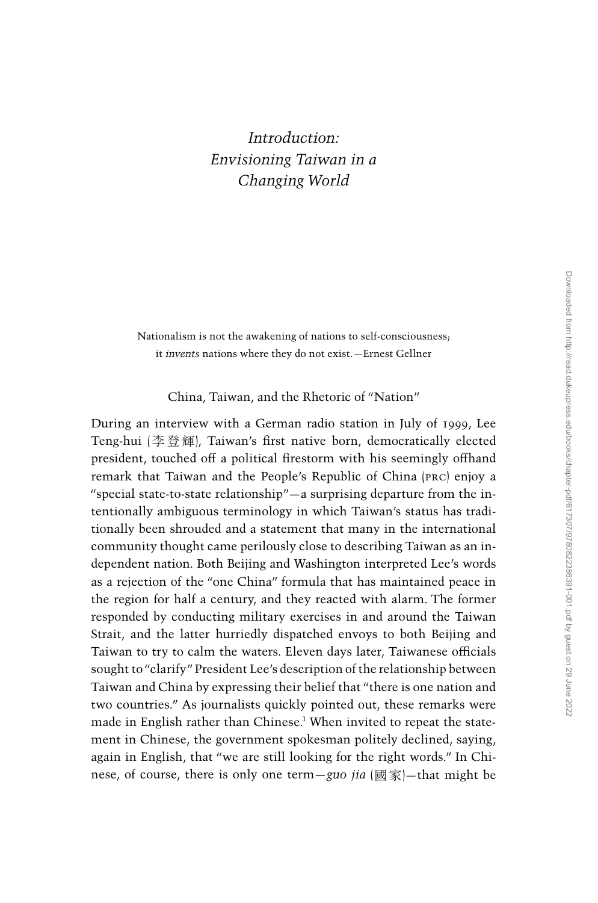## Introduction: Envisioning Taiwan in a Changing World

Nationalism is not the awakening of nations to self-consciousness; it invents nations where they do not exist.—Ernest Gellner

China, Taiwan, and the Rhetoric of ''Nation''

During an interview with a German radio station in July of 1999, Lee Teng-hui (李登輝), Taiwan's first native born, democratically elected president, touched off a political firestorm with his seemingly offhand remark that Taiwan and the People's Republic of China (prc) enjoy a ''special state-to-state relationship''—a surprising departure from the intentionally ambiguous terminology in which Taiwan's status has traditionally been shrouded and a statement that many in the international community thought came perilously close to describing Taiwan as an independent nation. Both Beijing and Washington interpreted Lee's words as a rejection of the ''one China'' formula that has maintained peace in the region for half a century, and they reacted with alarm. The former responded by conducting military exercises in and around the Taiwan Strait, and the latter hurriedly dispatched envoys to both Beijing and Taiwan to try to calm the waters. Eleven days later, Taiwanese officials sought to "clarify" President Lee's description of the relationship between Taiwan and China by expressing their belief that ''there is one nation and two countries.'' As journalists quickly pointed out, these remarks were made in English rather than Chinese.<sup>1</sup> When invited to repeat the statement in Chinese, the government spokesman politely declined, saying, again in English, that ''we are still looking for the right words.'' In Chinese, of course, there is only one term—guo *jia* (國家)—that might be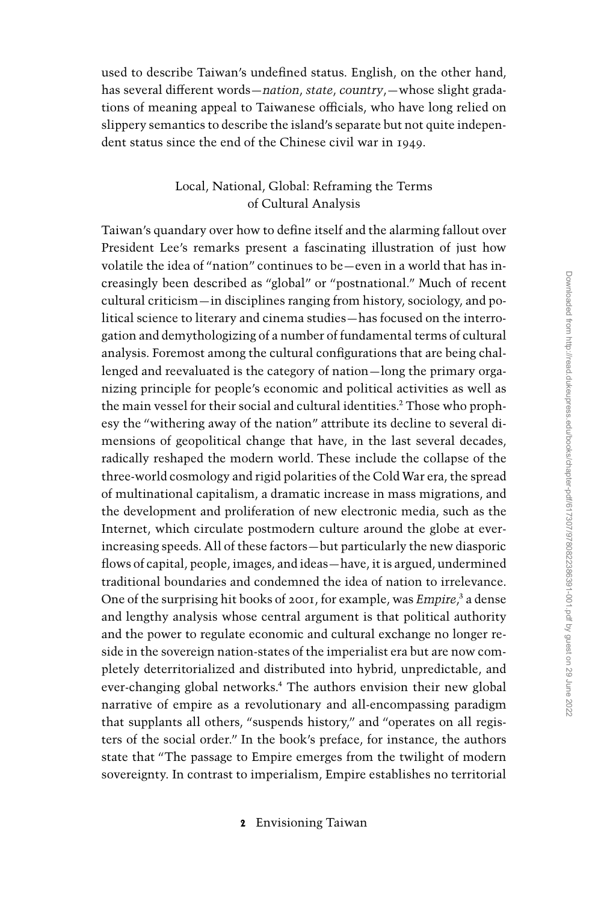used to describe Taiwan's undefined status. English, on the other hand, has several different words—nation, state, country,—whose slight gradations of meaning appeal to Taiwanese officials, who have long relied on slippery semantics to describe the island's separate but not quite independent status since the end of the Chinese civil war in 1949.

## Local, National, Global: Reframing the Terms of Cultural Analysis

Taiwan's quandary over how to define itself and the alarming fallout over President Lee's remarks present a fascinating illustration of just how volatile the idea of ''nation'' continues to be—even in a world that has increasingly been described as ''global'' or ''postnational.'' Much of recent cultural criticism—in disciplines ranging from history, sociology, and political science to literary and cinema studies—has focused on the interrogation and demythologizing of a number of fundamental terms of cultural analysis. Foremost among the cultural configurations that are being challenged and reevaluated is the category of nation—long the primary organizing principle for people's economic and political activities as well as the main vessel for their social and cultural identities.<sup>2</sup> Those who prophesy the ''withering away of the nation'' attribute its decline to several dimensions of geopolitical change that have, in the last several decades, radically reshaped the modern world. These include the collapse of the three-world cosmology and rigid polarities of the Cold War era, the spread of multinational capitalism, a dramatic increase in mass migrations, and the development and proliferation of new electronic media, such as the Internet, which circulate postmodern culture around the globe at everincreasing speeds. All of these factors—but particularly the new diasporic flows of capital, people, images, and ideas—have, it is argued, undermined traditional boundaries and condemned the idea of nation to irrelevance. One of the surprising hit books of 2001, for example, was *Empire*,<sup>3</sup> a dense and lengthy analysis whose central argument is that political authority and the power to regulate economic and cultural exchange no longer reside in the sovereign nation-states of the imperialist era but are now completely deterritorialized and distributed into hybrid, unpredictable, and ever-changing global networks.<sup>4</sup> The authors envision their new global narrative of empire as a revolutionary and all-encompassing paradigm that supplants all others, "suspends history," and "operates on all registers of the social order.'' In the book's preface, for instance, the authors state that ''The passage to Empire emerges from the twilight of modern sovereignty. In contrast to imperialism, Empire establishes no territorial

2 Envisioning Taiwan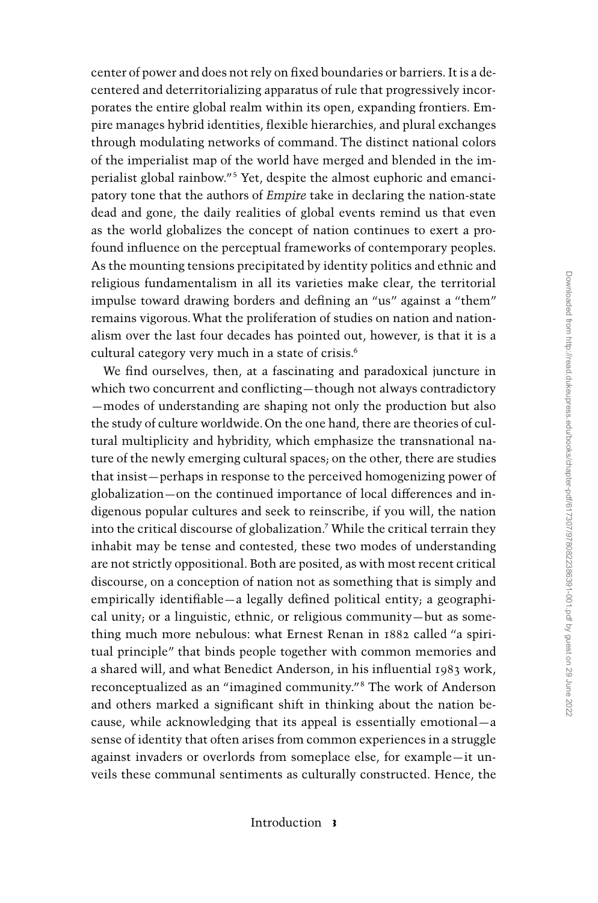center of power and does not rely on fixed boundaries or barriers. It is a decentered and deterritorializing apparatus of rule that progressively incorporates the entire global realm within its open, expanding frontiers. Empire manages hybrid identities, flexible hierarchies, and plural exchanges through modulating networks of command. The distinct national colors of the imperialist map of the world have merged and blended in the imperialist global rainbow.''<sup>5</sup> Yet, despite the almost euphoric and emancipatory tone that the authors of Empire take in declaring the nation-state dead and gone, the daily realities of global events remind us that even as the world globalizes the concept of nation continues to exert a profound influence on the perceptual frameworks of contemporary peoples. As the mounting tensions precipitated by identity politics and ethnic and religious fundamentalism in all its varieties make clear, the territorial impulse toward drawing borders and defining an ''us'' against a ''them'' remains vigorous.What the proliferation of studies on nation and nationalism over the last four decades has pointed out, however, is that it is a cultural category very much in a state of crisis.<sup>6</sup>

We find ourselves, then, at a fascinating and paradoxical juncture in which two concurrent and conflicting—though not always contradictory —modes of understanding are shaping not only the production but also the study of culture worldwide. On the one hand, there are theories of cultural multiplicity and hybridity, which emphasize the transnational nature of the newly emerging cultural spaces; on the other, there are studies that insist—perhaps in response to the perceived homogenizing power of globalization—on the continued importance of local differences and indigenous popular cultures and seek to reinscribe, if you will, the nation into the critical discourse of globalization.<sup>7</sup> While the critical terrain they inhabit may be tense and contested, these two modes of understanding are not strictly oppositional. Both are posited, as with most recent critical discourse, on a conception of nation not as something that is simply and empirically identifiable—a legally defined political entity; a geographical unity; or a linguistic, ethnic, or religious community—but as something much more nebulous: what Ernest Renan in 1882 called ''a spiritual principle'' that binds people together with common memories and a shared will, and what Benedict Anderson, in his influential 1983 work, reconceptualized as an ''imagined community.''<sup>8</sup> The work of Anderson and others marked a significant shift in thinking about the nation because, while acknowledging that its appeal is essentially emotional—a sense of identity that often arises from common experiences in a struggle against invaders or overlords from someplace else, for example—it unveils these communal sentiments as culturally constructed. Hence, the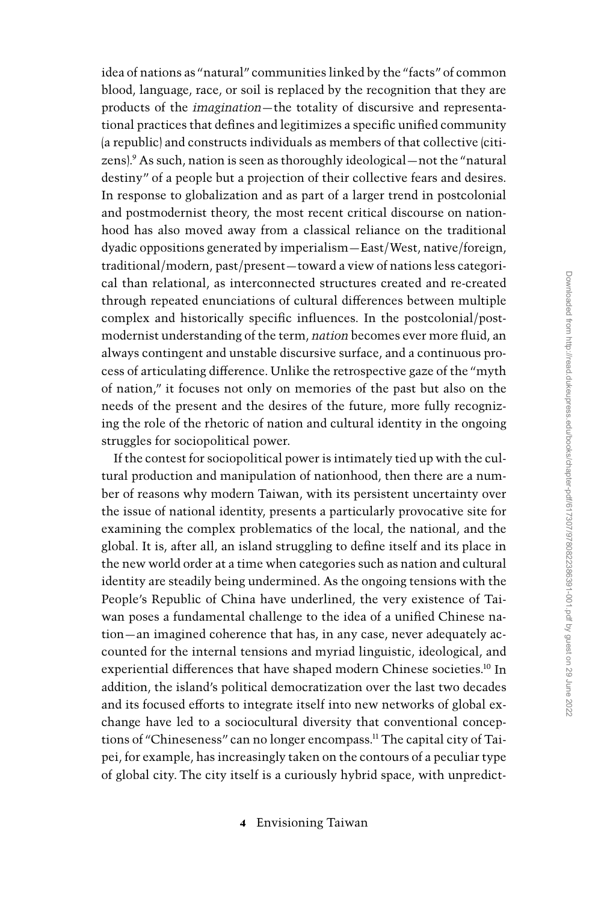Downloaded from http://read.dukeupress.edu/books/chapter-pdf/617307/9780822386391-001.pdf by guest on 29 June 2022 Downloaded from http://read.dukeupress.edu/books/chapter-pdf/617307/9780822386391-001.pdf by guest on 29 June 2022

idea of nations as ''natural'' communities linked by the ''facts'' of common blood, language, race, or soil is replaced by the recognition that they are products of the imagination—the totality of discursive and representational practices that defines and legitimizes a specific unified community (a republic) and constructs individuals as members of that collective (citizens).<sup>9</sup> As such, nation is seen as thoroughly ideological—not the ''natural destiny'' of a people but a projection of their collective fears and desires. In response to globalization and as part of a larger trend in postcolonial and postmodernist theory, the most recent critical discourse on nationhood has also moved away from a classical reliance on the traditional dyadic oppositions generated by imperialism—East/West, native/foreign, traditional/modern, past/present—toward a view of nations less categorical than relational, as interconnected structures created and re-created through repeated enunciations of cultural differences between multiple complex and historically specific influences. In the postcolonial/postmodernist understanding of the term, nation becomes ever more fluid, an always contingent and unstable discursive surface, and a continuous process of articulating difference. Unlike the retrospective gaze of the ''myth of nation,'' it focuses not only on memories of the past but also on the needs of the present and the desires of the future, more fully recognizing the role of the rhetoric of nation and cultural identity in the ongoing struggles for sociopolitical power. If the contest for sociopolitical power is intimately tied up with the cul-

tural production and manipulation of nationhood, then there are a number of reasons why modern Taiwan, with its persistent uncertainty over the issue of national identity, presents a particularly provocative site for examining the complex problematics of the local, the national, and the global. It is, after all, an island struggling to define itself and its place in the new world order at a time when categories such as nation and cultural identity are steadily being undermined. As the ongoing tensions with the People's Republic of China have underlined, the very existence of Taiwan poses a fundamental challenge to the idea of a unified Chinese nation—an imagined coherence that has, in any case, never adequately accounted for the internal tensions and myriad linguistic, ideological, and experiential differences that have shaped modern Chinese societies.<sup>10</sup> In addition, the island's political democratization over the last two decades and its focused efforts to integrate itself into new networks of global exchange have led to a sociocultural diversity that conventional conceptions of ''Chineseness'' can no longer encompass.<sup>11</sup> The capital city of Taipei, for example, has increasingly taken on the contours of a peculiar type of global city. The city itself is a curiously hybrid space, with unpredict-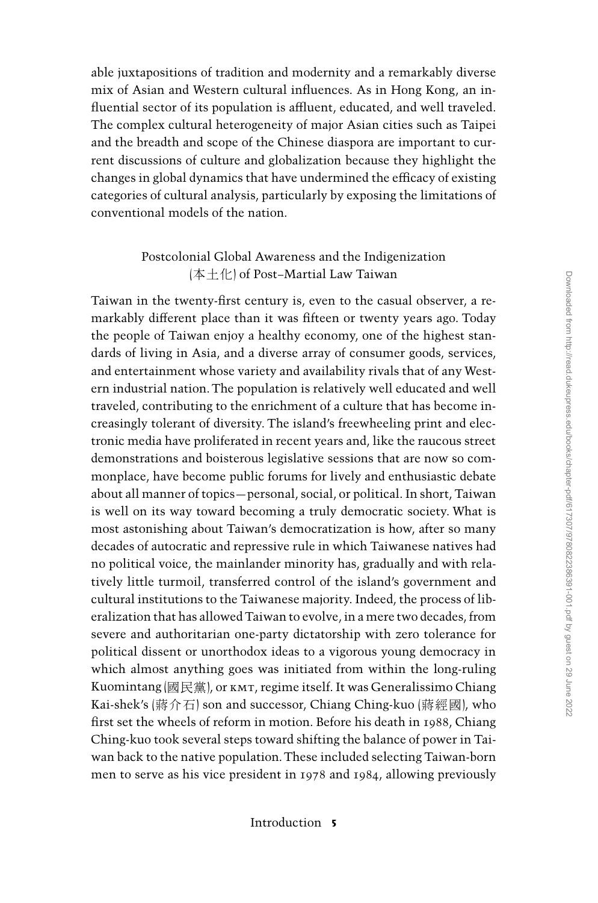able juxtapositions of tradition and modernity and a remarkably diverse mix of Asian and Western cultural influences. As in Hong Kong, an influential sector of its population is affluent, educated, and well traveled. The complex cultural heterogeneity of major Asian cities such as Taipei and the breadth and scope of the Chinese diaspora are important to current discussions of culture and globalization because they highlight the changes in global dynamics that have undermined the efficacy of existing categories of cultural analysis, particularly by exposing the limitations of conventional models of the nation.

## Postcolonial Global Awareness and the Indigenization (本土化) of Post–Martial Law Taiwan

Taiwan in the twenty-first century is, even to the casual observer, a remarkably different place than it was fifteen or twenty years ago. Today the people of Taiwan enjoy a healthy economy, one of the highest standards of living in Asia, and a diverse array of consumer goods, services, and entertainment whose variety and availability rivals that of any Western industrial nation. The population is relatively well educated and well traveled, contributing to the enrichment of a culture that has become increasingly tolerant of diversity. The island's freewheeling print and electronic media have proliferated in recent years and, like the raucous street demonstrations and boisterous legislative sessions that are now so commonplace, have become public forums for lively and enthusiastic debate about all manner of topics—personal, social, or political. In short, Taiwan is well on its way toward becoming a truly democratic society. What is most astonishing about Taiwan's democratization is how, after so many decades of autocratic and repressive rule in which Taiwanese natives had no political voice, the mainlander minority has, gradually and with relatively little turmoil, transferred control of the island's government and cultural institutions to the Taiwanese majority. Indeed, the process of liberalization that has allowed Taiwan to evolve, in a mere two decades, from severe and authoritarian one-party dictatorship with zero tolerance for political dissent or unorthodox ideas to a vigorous young democracy in which almost anything goes was initiated from within the long-ruling Kuomintang (國民黨), or kmt, regime itself. It was Generalissimo Chiang Kai-shek's (蔣介石) son and successor, Chiang Ching-kuo (蔣經國), who first set the wheels of reform in motion. Before his death in 1988, Chiang Ching-kuo took several steps toward shifting the balance of power in Taiwan back to the native population. These included selecting Taiwan-born men to serve as his vice president in 1978 and 1984, allowing previously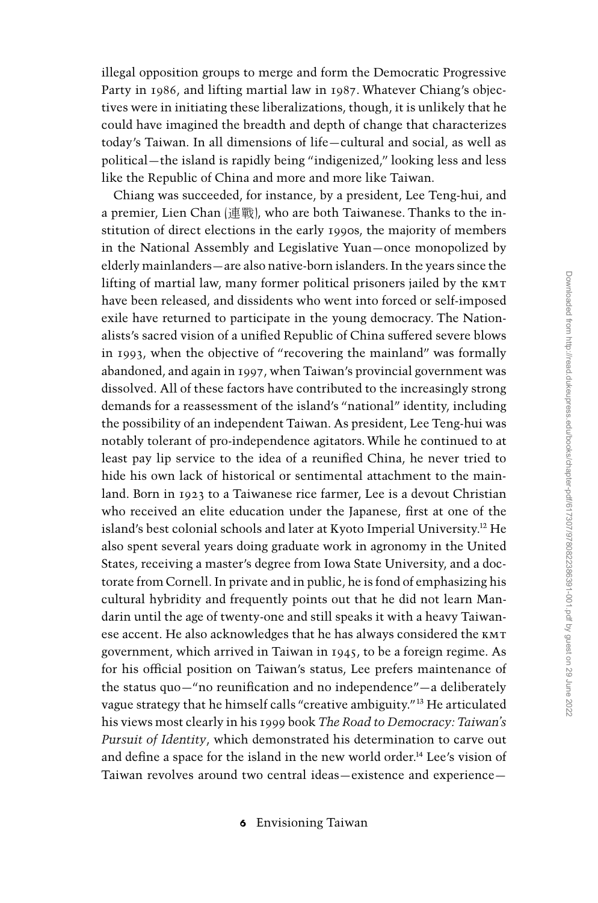illegal opposition groups to merge and form the Democratic Progressive Party in 1986, and lifting martial law in 1987. Whatever Chiang's objectives were in initiating these liberalizations, though, it is unlikely that he could have imagined the breadth and depth of change that characterizes today's Taiwan. In all dimensions of life—cultural and social, as well as political—the island is rapidly being ''indigenized,'' looking less and less like the Republic of China and more and more like Taiwan.

Chiang was succeeded, for instance, by a president, Lee Teng-hui, and a premier, Lien Chan (連戰), who are both Taiwanese. Thanks to the institution of direct elections in the early 1990s, the majority of members in the National Assembly and Legislative Yuan—once monopolized by elderly mainlanders—are also native-born islanders. In the years since the lifting of martial law, many former political prisoners jailed by the kmt have been released, and dissidents who went into forced or self-imposed exile have returned to participate in the young democracy. The Nationalists's sacred vision of a unified Republic of China suffered severe blows in 1993, when the objective of ''recovering the mainland'' was formally abandoned, and again in 1997, when Taiwan's provincial government was dissolved. All of these factors have contributed to the increasingly strong demands for a reassessment of the island's ''national'' identity, including the possibility of an independent Taiwan. As president, Lee Teng-hui was notably tolerant of pro-independence agitators. While he continued to at least pay lip service to the idea of a reunified China, he never tried to hide his own lack of historical or sentimental attachment to the mainland. Born in 1923 to a Taiwanese rice farmer, Lee is a devout Christian who received an elite education under the Japanese, first at one of the island's best colonial schools and later at Kyoto Imperial University.<sup>12</sup> He also spent several years doing graduate work in agronomy in the United States, receiving a master's degree from Iowa State University, and a doctorate from Cornell. In private and in public, he is fond of emphasizing his cultural hybridity and frequently points out that he did not learn Mandarin until the age of twenty-one and still speaks it with a heavy Taiwanese accent. He also acknowledges that he has always considered the kmt government, which arrived in Taiwan in 1945, to be a foreign regime. As for his official position on Taiwan's status, Lee prefers maintenance of the status quo—''no reunification and no independence''—a deliberately vague strategy that he himself calls ''creative ambiguity.''<sup>13</sup> He articulated his views most clearly in his 1999 book The Road to Democracy: Taiwan's Pursuit of Identity, which demonstrated his determination to carve out and define a space for the island in the new world order.<sup>14</sup> Lee's vision of Taiwan revolves around two central ideas—existence and experience—

6 Envisioning Taiwan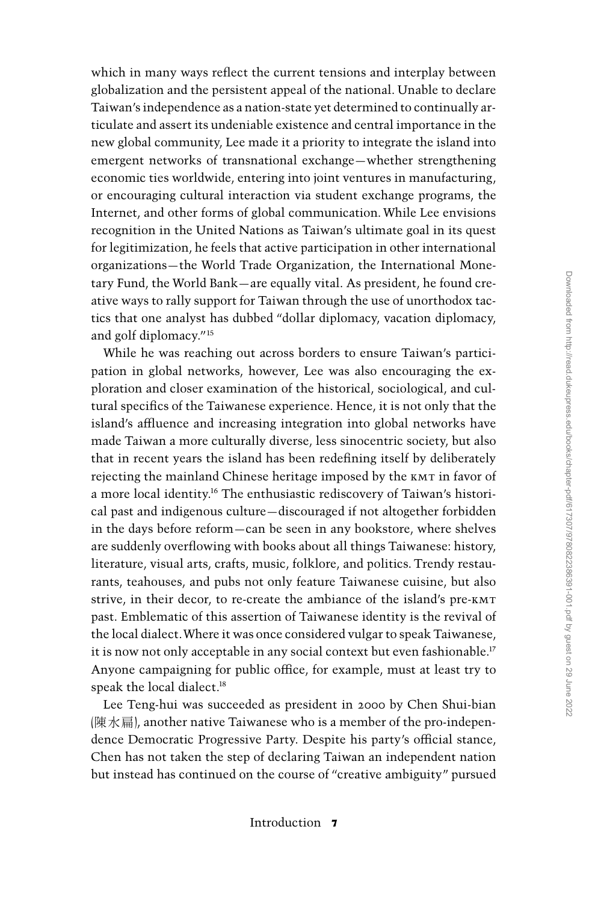which in many ways reflect the current tensions and interplay between globalization and the persistent appeal of the national. Unable to declare Taiwan's independence as a nation-state yet determined to continually articulate and assert its undeniable existence and central importance in the new global community, Lee made it a priority to integrate the island into emergent networks of transnational exchange—whether strengthening economic ties worldwide, entering into joint ventures in manufacturing, or encouraging cultural interaction via student exchange programs, the Internet, and other forms of global communication. While Lee envisions recognition in the United Nations as Taiwan's ultimate goal in its quest for legitimization, he feels that active participation in other international organizations—the World Trade Organization, the International Monetary Fund, the World Bank—are equally vital. As president, he found creative ways to rally support for Taiwan through the use of unorthodox tactics that one analyst has dubbed ''dollar diplomacy, vacation diplomacy, and golf diplomacy.''15

While he was reaching out across borders to ensure Taiwan's participation in global networks, however, Lee was also encouraging the exploration and closer examination of the historical, sociological, and cultural specifics of the Taiwanese experience. Hence, it is not only that the island's affluence and increasing integration into global networks have made Taiwan a more culturally diverse, less sinocentric society, but also that in recent years the island has been redefining itself by deliberately rejecting the mainland Chinese heritage imposed by the kmt in favor of a more local identity.<sup>16</sup> The enthusiastic rediscovery of Taiwan's historical past and indigenous culture—discouraged if not altogether forbidden in the days before reform—can be seen in any bookstore, where shelves are suddenly overflowing with books about all things Taiwanese: history, literature, visual arts, crafts, music, folklore, and politics. Trendy restaurants, teahouses, and pubs not only feature Taiwanese cuisine, but also strive, in their decor, to re-create the ambiance of the island's pre-kmt past. Emblematic of this assertion of Taiwanese identity is the revival of the local dialect.Where it was once considered vulgar to speak Taiwanese, it is now not only acceptable in any social context but even fashionable.<sup>17</sup> Anyone campaigning for public office, for example, must at least try to speak the local dialect.<sup>18</sup>

Lee Teng-hui was succeeded as president in 2000 by Chen Shui-bian (陳水扁), another native Taiwanese who is a member of the pro-independence Democratic Progressive Party. Despite his party's official stance, Chen has not taken the step of declaring Taiwan an independent nation but instead has continued on the course of ''creative ambiguity'' pursued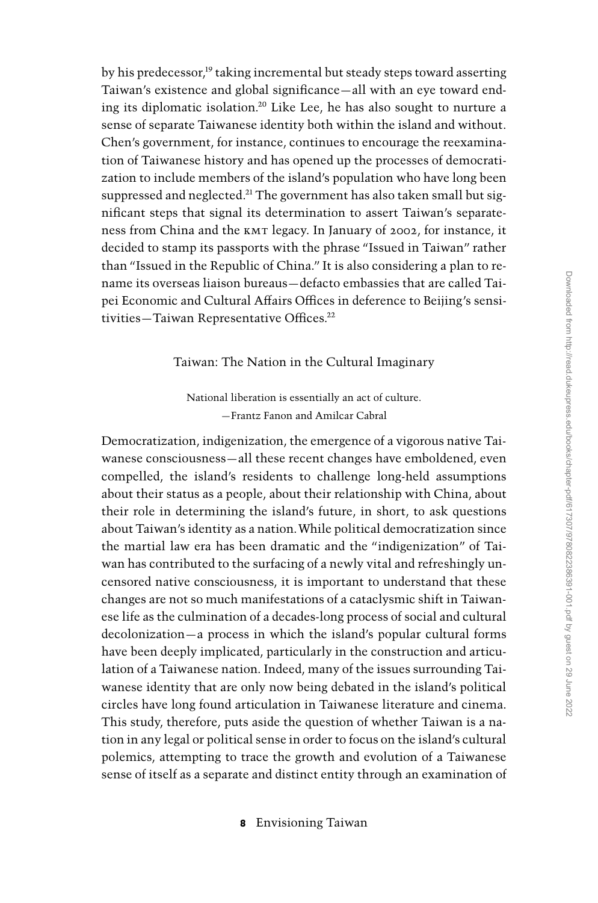by his predecessor,<sup>19</sup> taking incremental but steady steps toward asserting Taiwan's existence and global significance—all with an eye toward ending its diplomatic isolation.<sup>20</sup> Like Lee, he has also sought to nurture a sense of separate Taiwanese identity both within the island and without. Chen's government, for instance, continues to encourage the reexamination of Taiwanese history and has opened up the processes of democratization to include members of the island's population who have long been suppressed and neglected.<sup>21</sup> The government has also taken small but significant steps that signal its determination to assert Taiwan's separateness from China and the kmt legacy. In January of 2002, for instance, it decided to stamp its passports with the phrase ''Issued in Taiwan'' rather than ''Issued in the Republic of China.'' It is also considering a plan to rename its overseas liaison bureaus—defacto embassies that are called Taipei Economic and Cultural Affairs Offices in deference to Beijing's sensitivities—Taiwan Representative Offices.<sup>22</sup>

## Taiwan: The Nation in the Cultural Imaginary

National liberation is essentially an act of culture. —Frantz Fanon and Amilcar Cabral

Democratization, indigenization, the emergence of a vigorous native Taiwanese consciousness—all these recent changes have emboldened, even compelled, the island's residents to challenge long-held assumptions about their status as a people, about their relationship with China, about their role in determining the island's future, in short, to ask questions about Taiwan's identity as a nation.While political democratization since the martial law era has been dramatic and the ''indigenization'' of Taiwan has contributed to the surfacing of a newly vital and refreshingly uncensored native consciousness, it is important to understand that these changes are not so much manifestations of a cataclysmic shift in Taiwanese life as the culmination of a decades-long process of social and cultural decolonization—a process in which the island's popular cultural forms have been deeply implicated, particularly in the construction and articulation of a Taiwanese nation. Indeed, many of the issues surrounding Taiwanese identity that are only now being debated in the island's political circles have long found articulation in Taiwanese literature and cinema. This study, therefore, puts aside the question of whether Taiwan is a nation in any legal or political sense in order to focus on the island's cultural polemics, attempting to trace the growth and evolution of a Taiwanese sense of itself as a separate and distinct entity through an examination of

8 Envisioning Taiwan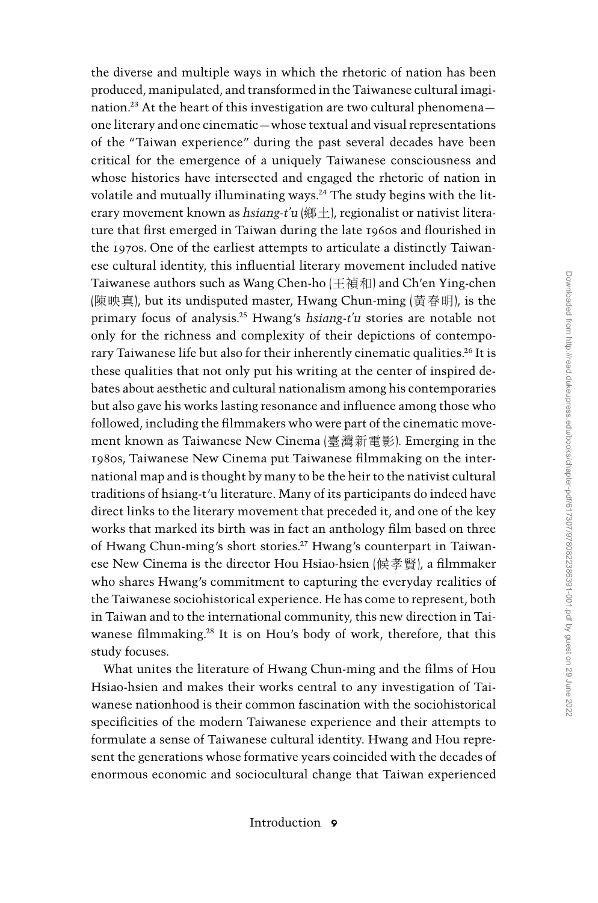the diverse and multiple ways in which the rhetoric of nation has been produced, manipulated, and transformed in the Taiwanese cultural imagination.<sup>23</sup> At the heart of this investigation are two cultural phenomena one literary and one cinematic—whose textual and visual representations of the ''Taiwan experience'' during the past several decades have been critical for the emergence of a uniquely Taiwanese consciousness and whose histories have intersected and engaged the rhetoric of nation in volatile and mutually illuminating ways.<sup>24</sup> The study begins with the literary movement known as hsiang-t'u (鄉土), regionalist or nativist literature that first emerged in Taiwan during the late 1960s and flourished in the 1970s. One of the earliest attempts to articulate a distinctly Taiwanese cultural identity, this influential literary movement included native Taiwanese authors such as Wang Chen-ho (王禎和) and Ch'en Ying-chen (陳映真), but its undisputed master, Hwang Chun-ming (黃春明), is the primary focus of analysis.<sup>25</sup> Hwang's hsiang-t'u stories are notable not only for the richness and complexity of their depictions of contemporary Taiwanese life but also for their inherently cinematic qualities.<sup>26</sup> It is these qualities that not only put his writing at the center of inspired debates about aesthetic and cultural nationalism among his contemporaries but also gave his works lasting resonance and influence among those who followed, including the filmmakers who were part of the cinematic movement known as Taiwanese New Cinema (臺灣新電影). Emerging in the 1980s, Taiwanese New Cinema put Taiwanese filmmaking on the international map and is thought by many to be the heir to the nativist cultural traditions of hsiang-t'u literature. Many of its participants do indeed have direct links to the literary movement that preceded it, and one of the key works that marked its birth was in fact an anthology film based on three of Hwang Chun-ming's short stories.<sup>27</sup> Hwang's counterpart in Taiwanese New Cinema is the director Hou Hsiao-hsien (候孝賢), a filmmaker who shares Hwang's commitment to capturing the everyday realities of the Taiwanese sociohistorical experience. He has come to represent, both in Taiwan and to the international community, this new direction in Taiwanese filmmaking.<sup>28</sup> It is on Hou's body of work, therefore, that this study focuses.

What unites the literature of Hwang Chun-ming and the films of Hou Hsiao-hsien and makes their works central to any investigation of Taiwanese nationhood is their common fascination with the sociohistorical specificities of the modern Taiwanese experience and their attempts to formulate a sense of Taiwanese cultural identity. Hwang and Hou represent the generations whose formative years coincided with the decades of enormous economic and sociocultural change that Taiwan experienced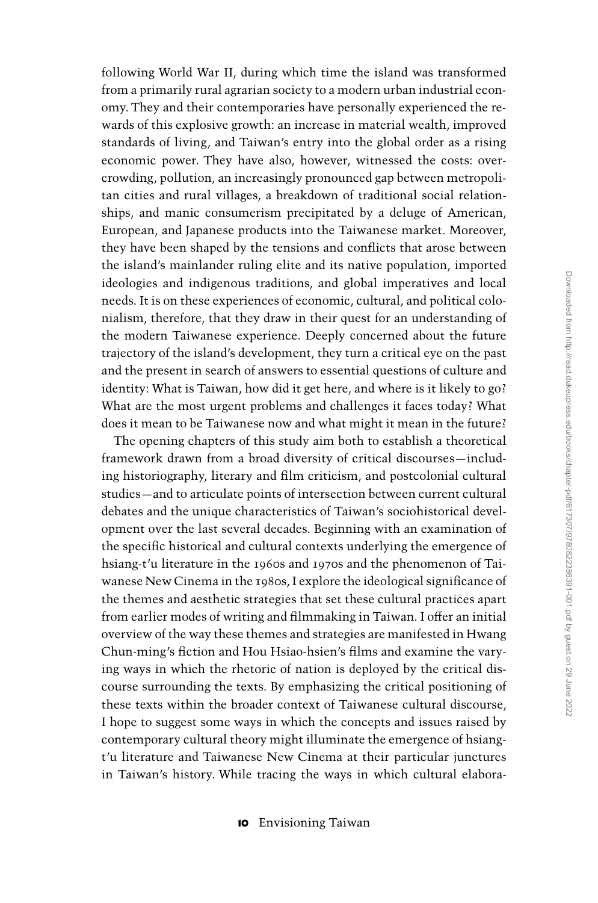following World War II, during which time the island was transformed from a primarily rural agrarian society to a modern urban industrial economy. They and their contemporaries have personally experienced the rewards of this explosive growth: an increase in material wealth, improved standards of living, and Taiwan's entry into the global order as a rising economic power. They have also, however, witnessed the costs: overcrowding, pollution, an increasingly pronounced gap between metropolitan cities and rural villages, a breakdown of traditional social relationships, and manic consumerism precipitated by a deluge of American, European, and Japanese products into the Taiwanese market. Moreover, they have been shaped by the tensions and conflicts that arose between the island's mainlander ruling elite and its native population, imported ideologies and indigenous traditions, and global imperatives and local needs. It is on these experiences of economic, cultural, and political colonialism, therefore, that they draw in their quest for an understanding of the modern Taiwanese experience. Deeply concerned about the future trajectory of the island's development, they turn a critical eye on the past and the present in search of answers to essential questions of culture and identity: What is Taiwan, how did it get here, and where is it likely to go? What are the most urgent problems and challenges it faces today? What does it mean to be Taiwanese now and what might it mean in the future?

The opening chapters of this study aim both to establish a theoretical framework drawn from a broad diversity of critical discourses—including historiography, literary and film criticism, and postcolonial cultural studies—and to articulate points of intersection between current cultural debates and the unique characteristics of Taiwan's sociohistorical development over the last several decades. Beginning with an examination of the specific historical and cultural contexts underlying the emergence of hsiang-t'u literature in the 1960s and 1970s and the phenomenon of Taiwanese New Cinema in the 1980s, I explore the ideological significance of the themes and aesthetic strategies that set these cultural practices apart from earlier modes of writing and filmmaking in Taiwan. I offer an initial overview of the way these themes and strategies are manifested in Hwang Chun-ming's fiction and Hou Hsiao-hsien's films and examine the varying ways in which the rhetoric of nation is deployed by the critical discourse surrounding the texts. By emphasizing the critical positioning of these texts within the broader context of Taiwanese cultural discourse, I hope to suggest some ways in which the concepts and issues raised by contemporary cultural theory might illuminate the emergence of hsiangt'u literature and Taiwanese New Cinema at their particular junctures in Taiwan's history. While tracing the ways in which cultural elabora